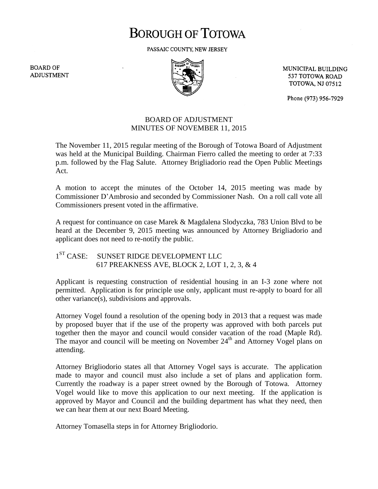## **BOROUGH OF TOTOWA**

PASSAIC COUNTY, NEW JERSEY

**BOARD OF ADJUSTMENT** 



MUNICIPAL BUILDING 537 TOTOWA ROAD **TOTOWA, NJ 07512** 

Phone (973) 956-7929

## BOARD OF ADJUSTMENT MINUTES OF NOVEMBER 11, 2015

The November 11, 2015 regular meeting of the Borough of Totowa Board of Adjustment was held at the Municipal Building. Chairman Fierro called the meeting to order at 7:33 p.m. followed by the Flag Salute. Attorney Brigliadorio read the Open Public Meetings Act.

A motion to accept the minutes of the October 14, 2015 meeting was made by Commissioner D'Ambrosio and seconded by Commissioner Nash. On a roll call vote all Commissioners present voted in the affirmative.

A request for continuance on case Marek & Magdalena Slodyczka, 783 Union Blvd to be heard at the December 9, 2015 meeting was announced by Attorney Brigliadorio and applicant does not need to re-notify the public.

 $1^{ST}$  CASE: SUNSET RIDGE DEVELOPMENT LLC 617 PREAKNESS AVE, BLOCK 2, LOT 1, 2, 3, & 4

Applicant is requesting construction of residential housing in an I-3 zone where not permitted. Application is for principle use only, applicant must re-apply to board for all other variance(s), subdivisions and approvals.

Attorney Vogel found a resolution of the opening body in 2013 that a request was made by proposed buyer that if the use of the property was approved with both parcels put together then the mayor and council would consider vacation of the road (Maple Rd). The mayor and council will be meeting on November  $24<sup>th</sup>$  and Attorney Vogel plans on attending.

Attorney Brigliodorio states all that Attorney Vogel says is accurate. The application made to mayor and council must also include a set of plans and application form. Currently the roadway is a paper street owned by the Borough of Totowa. Attorney Vogel would like to move this application to our next meeting. If the application is approved by Mayor and Council and the building department has what they need, then we can hear them at our next Board Meeting.

Attorney Tomasella steps in for Attorney Brigliodorio.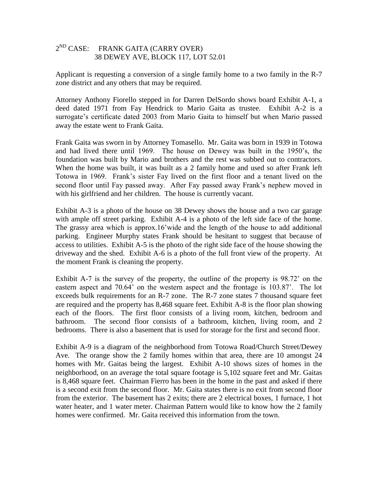## 2<sup>ND</sup> CASE: FRANK GAITA (CARRY OVER) 38 DEWEY AVE, BLOCK 117, LOT 52.01

Applicant is requesting a conversion of a single family home to a two family in the R-7 zone district and any others that may be required.

Attorney Anthony Fiorello stepped in for Darren DelSordo shows board Exhibit A-1, a deed dated 1971 from Fay Hendrick to Mario Gaita as trustee. Exhibit A-2 is a surrogate's certificate dated 2003 from Mario Gaita to himself but when Mario passed away the estate went to Frank Gaita.

Frank Gaita was sworn in by Attorney Tomasello. Mr. Gaita was born in 1939 in Totowa and had lived there until 1969. The house on Dewey was built in the 1950's, the foundation was built by Mario and brothers and the rest was subbed out to contractors. When the home was built, it was built as a 2 family home and used so after Frank left Totowa in 1969. Frank's sister Fay lived on the first floor and a tenant lived on the second floor until Fay passed away. After Fay passed away Frank's nephew moved in with his girlfriend and her children. The house is currently vacant.

Exhibit A-3 is a photo of the house on 38 Dewey shows the house and a two car garage with ample off street parking. Exhibit A-4 is a photo of the left side face of the home. The grassy area which is approx.16'wide and the length of the house to add additional parking. Engineer Murphy states Frank should be hesitant to suggest that because of access to utilities. Exhibit A-5 is the photo of the right side face of the house showing the driveway and the shed. Exhibit A-6 is a photo of the full front view of the property. At the moment Frank is cleaning the property.

Exhibit A-7 is the survey of the property, the outline of the property is 98.72' on the eastern aspect and 70.64' on the western aspect and the frontage is 103.87'. The lot exceeds bulk requirements for an R-7 zone. The R-7 zone states 7 thousand square feet are required and the property has 8,468 square feet. Exhibit A-8 is the floor plan showing each of the floors. The first floor consists of a living room, kitchen, bedroom and bathroom. The second floor consists of a bathroom, kitchen, living room, and 2 bedrooms. There is also a basement that is used for storage for the first and second floor.

Exhibit A-9 is a diagram of the neighborhood from Totowa Road/Church Street/Dewey Ave. The orange show the 2 family homes within that area, there are 10 amongst 24 homes with Mr. Gaitas being the largest. Exhibit A-10 shows sizes of homes in the neighborhood, on an average the total square footage is 5,102 square feet and Mr. Gaitas is 8,468 square feet. Chairman Fierro has been in the home in the past and asked if there is a second exit from the second floor. Mr. Gaita states there is no exit from second floor from the exterior. The basement has 2 exits; there are 2 electrical boxes, 1 furnace, 1 hot water heater, and 1 water meter. Chairman Pattern would like to know how the 2 family homes were confirmed. Mr. Gaita received this information from the town.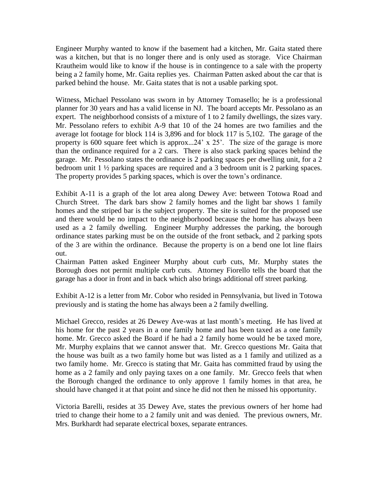Engineer Murphy wanted to know if the basement had a kitchen, Mr. Gaita stated there was a kitchen, but that is no longer there and is only used as storage. Vice Chairman Krautheim would like to know if the house is in contingence to a sale with the property being a 2 family home, Mr. Gaita replies yes. Chairman Patten asked about the car that is parked behind the house. Mr. Gaita states that is not a usable parking spot.

Witness, Michael Pessolano was sworn in by Attorney Tomasello; he is a professional planner for 30 years and has a valid license in NJ. The board accepts Mr. Pessolano as an expert. The neighborhood consists of a mixture of 1 to 2 family dwellings, the sizes vary. Mr. Pessolano refers to exhibit A-9 that 10 of the 24 homes are two families and the average lot footage for block 114 is 3,896 and for block 117 is 5,102. The garage of the property is 600 square feet which is approx...24' x 25'. The size of the garage is more than the ordinance required for a 2 cars. There is also stack parking spaces behind the garage. Mr. Pessolano states the ordinance is 2 parking spaces per dwelling unit, for a 2 bedroom unit 1 ½ parking spaces are required and a 3 bedroom unit is 2 parking spaces. The property provides 5 parking spaces, which is over the town's ordinance.

Exhibit A-11 is a graph of the lot area along Dewey Ave: between Totowa Road and Church Street. The dark bars show 2 family homes and the light bar shows 1 family homes and the striped bar is the subject property. The site is suited for the proposed use and there would be no impact to the neighborhood because the home has always been used as a 2 family dwelling. Engineer Murphy addresses the parking, the borough ordinance states parking must be on the outside of the front setback, and 2 parking spots of the 3 are within the ordinance. Because the property is on a bend one lot line flairs out.

Chairman Patten asked Engineer Murphy about curb cuts, Mr. Murphy states the Borough does not permit multiple curb cuts. Attorney Fiorello tells the board that the garage has a door in front and in back which also brings additional off street parking.

Exhibit A-12 is a letter from Mr. Cobor who resided in Pennsylvania, but lived in Totowa previously and is stating the home has always been a 2 family dwelling.

Michael Grecco, resides at 26 Dewey Ave-was at last month's meeting. He has lived at his home for the past 2 years in a one family home and has been taxed as a one family home. Mr. Grecco asked the Board if he had a 2 family home would he be taxed more, Mr. Murphy explains that we cannot answer that. Mr. Grecco questions Mr. Gaita that the house was built as a two family home but was listed as a 1 family and utilized as a two family home. Mr. Grecco is stating that Mr. Gaita has committed fraud by using the home as a 2 family and only paying taxes on a one family. Mr. Grecco feels that when the Borough changed the ordinance to only approve 1 family homes in that area, he should have changed it at that point and since he did not then he missed his opportunity.

Victoria Barelli, resides at 35 Dewey Ave, states the previous owners of her home had tried to change their home to a 2 family unit and was denied. The previous owners, Mr. Mrs. Burkhardt had separate electrical boxes, separate entrances.